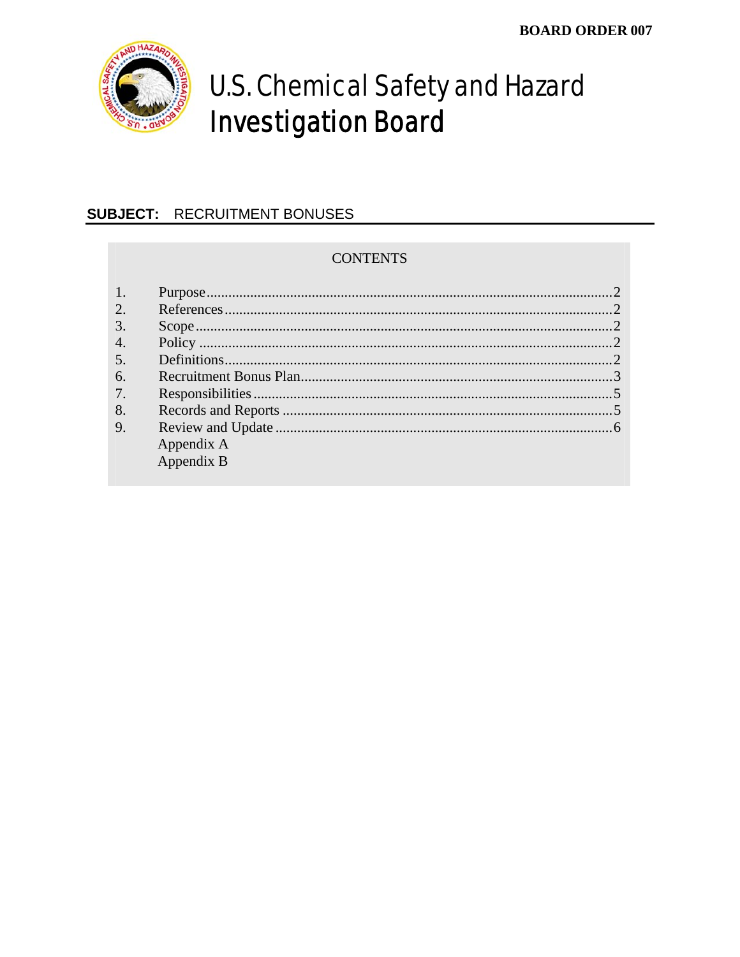

# **U.S. Chemical Safety and Hazard Investigation Board**

## **SUBJECT: RECRUITMENT BONUSES**

#### **CONTENTS**

| 2.               |            |  |
|------------------|------------|--|
| $\mathfrak{Z}$   |            |  |
| $\overline{4}$ . |            |  |
| $\overline{5}$ . |            |  |
| 6.               |            |  |
| 7.               |            |  |
| 8.               |            |  |
| 9.               |            |  |
|                  | Appendix A |  |
|                  | Appendix B |  |
|                  |            |  |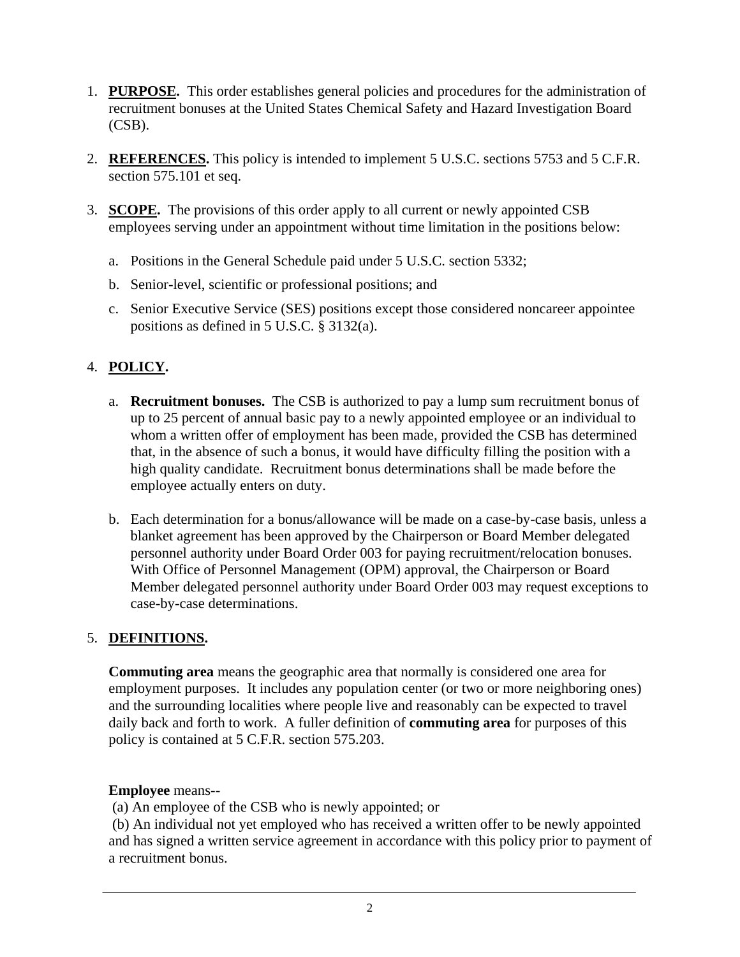- 1. **PURPOSE.** This order establishes general policies and procedures for the administration of recruitment bonuses at the United States Chemical Safety and Hazard Investigation Board (CSB).
- 2. **REFERENCES.** This policy is intended to implement 5 U.S.C. sections 5753 and 5 C.F.R. section 575.101 et seq.
- 3. **SCOPE.** The provisions of this order apply to all current or newly appointed CSB employees serving under an appointment without time limitation in the positions below:
	- a. Positions in the General Schedule paid under 5 U.S.C. section 5332;
	- b. Senior-level, scientific or professional positions; and
	- c. Senior Executive Service (SES) positions except those considered noncareer appointee positions as defined in 5 U.S.C. § 3132(a).

### 4. **POLICY.**

- a. **Recruitment bonuses.** The CSB is authorized to pay a lump sum recruitment bonus of up to 25 percent of annual basic pay to a newly appointed employee or an individual to whom a written offer of employment has been made, provided the CSB has determined that, in the absence of such a bonus, it would have difficulty filling the position with a high quality candidate. Recruitment bonus determinations shall be made before the employee actually enters on duty.
- b. Each determination for a bonus/allowance will be made on a case-by-case basis, unless a blanket agreement has been approved by the Chairperson or Board Member delegated personnel authority under Board Order 003 for paying recruitment/relocation bonuses. With Office of Personnel Management (OPM) approval, the Chairperson or Board Member delegated personnel authority under Board Order 003 may request exceptions to case-by-case determinations.

#### 5. **DEFINITIONS.**

**Commuting area** means the geographic area that normally is considered one area for employment purposes. It includes any population center (or two or more neighboring ones) and the surrounding localities where people live and reasonably can be expected to travel daily back and forth to work. A fuller definition of **commuting area** for purposes of this policy is contained at 5 C.F.R. section 575.203.

#### **Employee** means--

(a) An employee of the CSB who is newly appointed; or

 (b) An individual not yet employed who has received a written offer to be newly appointed and has signed a written service agreement in accordance with this policy prior to payment of a recruitment bonus.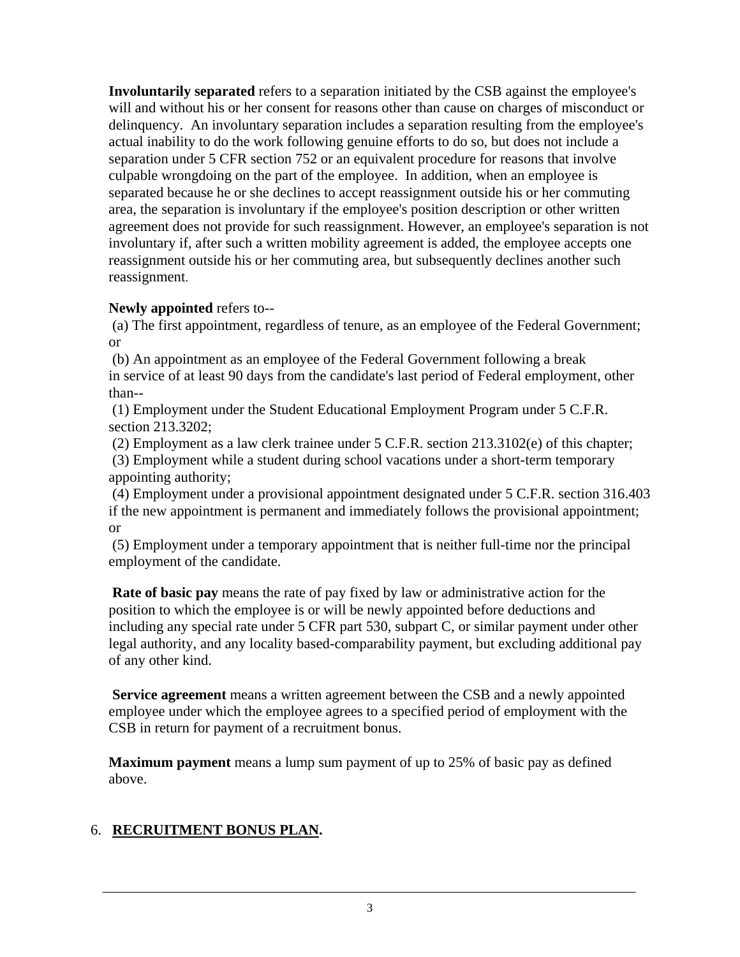**Involuntarily separated** refers to a separation initiated by the CSB against the employee's will and without his or her consent for reasons other than cause on charges of misconduct or delinquency. An involuntary separation includes a separation resulting from the employee's actual inability to do the work following genuine efforts to do so, but does not include a separation under 5 CFR section 752 or an equivalent procedure for reasons that involve culpable wrongdoing on the part of the employee. In addition, when an employee is separated because he or she declines to accept reassignment outside his or her commuting area, the separation is involuntary if the employee's position description or other written agreement does not provide for such reassignment. However, an employee's separation is not involuntary if, after such a written mobility agreement is added, the employee accepts one reassignment outside his or her commuting area, but subsequently declines another such reassignment.

#### **Newly appointed** refers to--

 (a) The first appointment, regardless of tenure, as an employee of the Federal Government; or

 (b) An appointment as an employee of the Federal Government following a break in service of at least 90 days from the candidate's last period of Federal employment, other than--

 (1) Employment under the Student Educational Employment Program under 5 C.F.R. section 213.3202:

(2) Employment as a law clerk trainee under 5 C.F.R. section 213.3102(e) of this chapter;

 (3) Employment while a student during school vacations under a short-term temporary appointing authority;

 (4) Employment under a provisional appointment designated under 5 C.F.R. section 316.403 if the new appointment is permanent and immediately follows the provisional appointment; or

 (5) Employment under a temporary appointment that is neither full-time nor the principal employment of the candidate.

**Rate of basic pay** means the rate of pay fixed by law or administrative action for the position to which the employee is or will be newly appointed before deductions and including any special rate under 5 CFR part 530, subpart C, or similar payment under other legal authority, and any locality based-comparability payment, but excluding additional pay of any other kind.

 **Service agreement** means a written agreement between the CSB and a newly appointed employee under which the employee agrees to a specified period of employment with the CSB in return for payment of a recruitment bonus.

**Maximum payment** means a lump sum payment of up to 25% of basic pay as defined above.

#### 6. **RECRUITMENT BONUS PLAN.**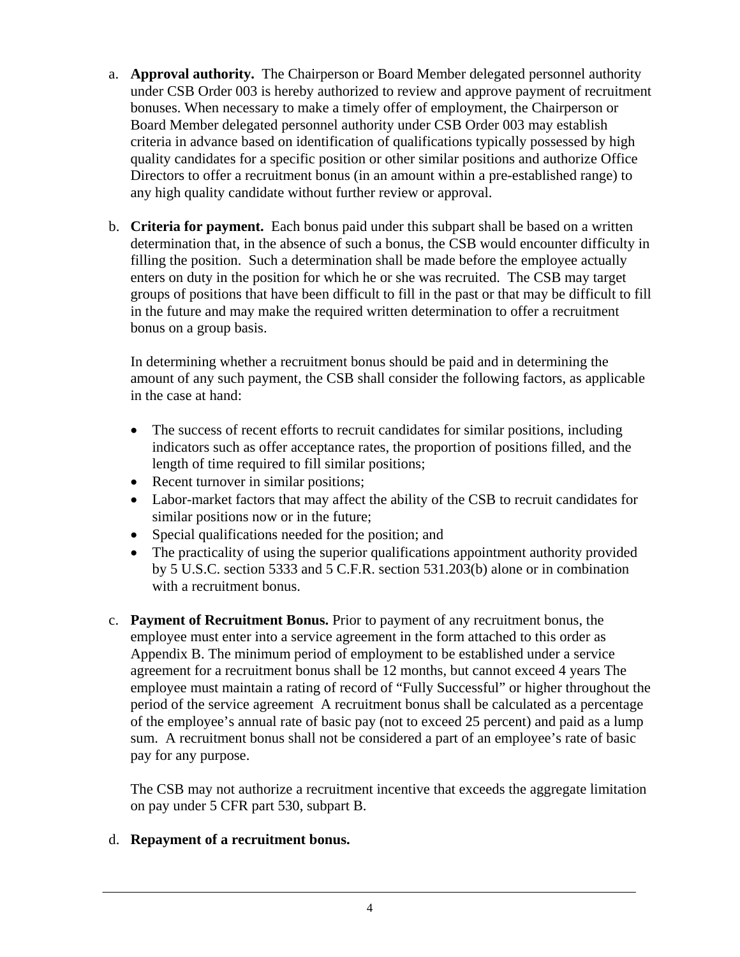- a. **Approval authority.** The Chairperson or Board Member delegated personnel authority under CSB Order 003 is hereby authorized to review and approve payment of recruitment bonuses. When necessary to make a timely offer of employment, the Chairperson or Board Member delegated personnel authority under CSB Order 003 may establish criteria in advance based on identification of qualifications typically possessed by high quality candidates for a specific position or other similar positions and authorize Office Directors to offer a recruitment bonus (in an amount within a pre-established range) to any high quality candidate without further review or approval.
- b. **Criteria for payment.** Each bonus paid under this subpart shall be based on a written determination that, in the absence of such a bonus, the CSB would encounter difficulty in filling the position. Such a determination shall be made before the employee actually enters on duty in the position for which he or she was recruited. The CSB may target groups of positions that have been difficult to fill in the past or that may be difficult to fill in the future and may make the required written determination to offer a recruitment bonus on a group basis.

 In determining whether a recruitment bonus should be paid and in determining the amount of any such payment, the CSB shall consider the following factors, as applicable in the case at hand:

- The success of recent efforts to recruit candidates for similar positions, including indicators such as offer acceptance rates, the proportion of positions filled, and the length of time required to fill similar positions;
- Recent turnover in similar positions;
- Labor-market factors that may affect the ability of the CSB to recruit candidates for similar positions now or in the future;
- Special qualifications needed for the position; and
- The practicality of using the superior qualifications appointment authority provided by 5 U.S.C. section 5333 and 5 C.F.R. section 531.203(b) alone or in combination with a recruitment bonus.
- c. **Payment of Recruitment Bonus.** Prior to payment of any recruitment bonus, the employee must enter into a service agreement in the form attached to this order as Appendix B. The minimum period of employment to be established under a service agreement for a recruitment bonus shall be 12 months, but cannot exceed 4 years The employee must maintain a rating of record of "Fully Successful" or higher throughout the period of the service agreement A recruitment bonus shall be calculated as a percentage of the employee's annual rate of basic pay (not to exceed 25 percent) and paid as a lump sum. A recruitment bonus shall not be considered a part of an employee's rate of basic pay for any purpose.

The CSB may not authorize a recruitment incentive that exceeds the aggregate limitation on pay under 5 CFR part 530, subpart B.

#### d. **Repayment of a recruitment bonus.**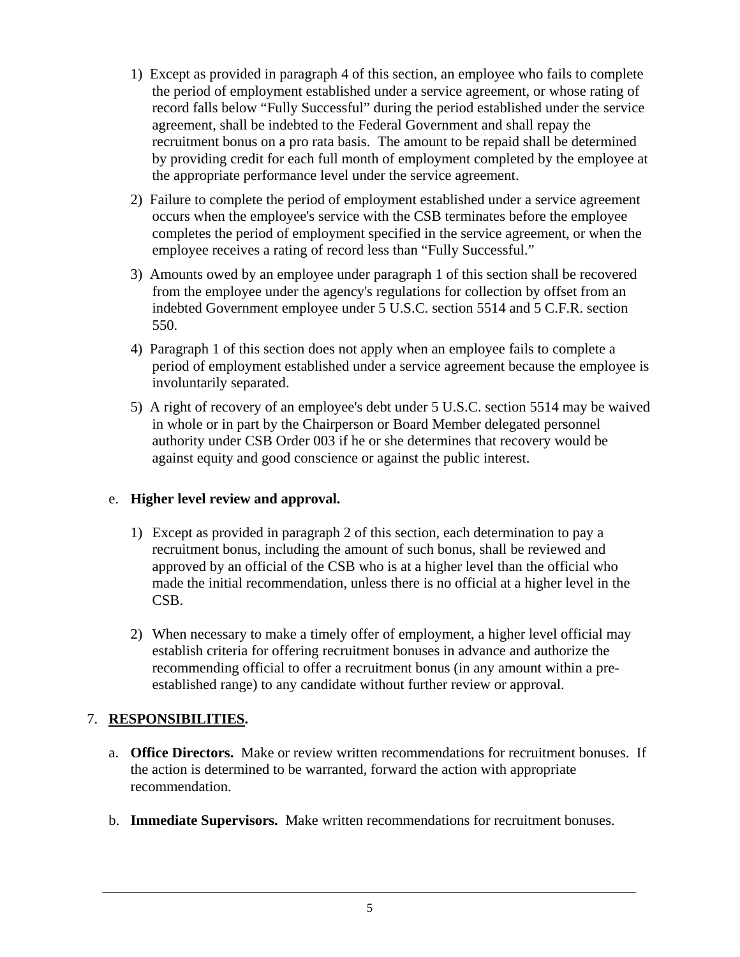- 1) Except as provided in paragraph 4 of this section, an employee who fails to complete the period of employment established under a service agreement, or whose rating of record falls below "Fully Successful" during the period established under the service agreement, shall be indebted to the Federal Government and shall repay the recruitment bonus on a pro rata basis. The amount to be repaid shall be determined by providing credit for each full month of employment completed by the employee at the appropriate performance level under the service agreement.
- 2) Failure to complete the period of employment established under a service agreement occurs when the employee's service with the CSB terminates before the employee completes the period of employment specified in the service agreement, or when the employee receives a rating of record less than "Fully Successful."
- 3) Amounts owed by an employee under paragraph 1 of this section shall be recovered from the employee under the agency's regulations for collection by offset from an indebted Government employee under 5 U.S.C. section 5514 and 5 C.F.R. section 550.
- 4) Paragraph 1 of this section does not apply when an employee fails to complete a period of employment established under a service agreement because the employee is involuntarily separated.
- 5) A right of recovery of an employee's debt under 5 U.S.C. section 5514 may be waived in whole or in part by the Chairperson or Board Member delegated personnel authority under CSB Order 003 if he or she determines that recovery would be against equity and good conscience or against the public interest.

#### e. **Higher level review and approval.**

- 1) Except as provided in paragraph 2 of this section, each determination to pay a recruitment bonus, including the amount of such bonus, shall be reviewed and approved by an official of the CSB who is at a higher level than the official who made the initial recommendation, unless there is no official at a higher level in the CSB.
- 2) When necessary to make a timely offer of employment, a higher level official may establish criteria for offering recruitment bonuses in advance and authorize the recommending official to offer a recruitment bonus (in any amount within a preestablished range) to any candidate without further review or approval.

## 7. **RESPONSIBILITIES.**

- a. **Office Directors.** Make or review written recommendations for recruitment bonuses. If the action is determined to be warranted, forward the action with appropriate recommendation.
- b. **Immediate Supervisors.** Make written recommendations for recruitment bonuses.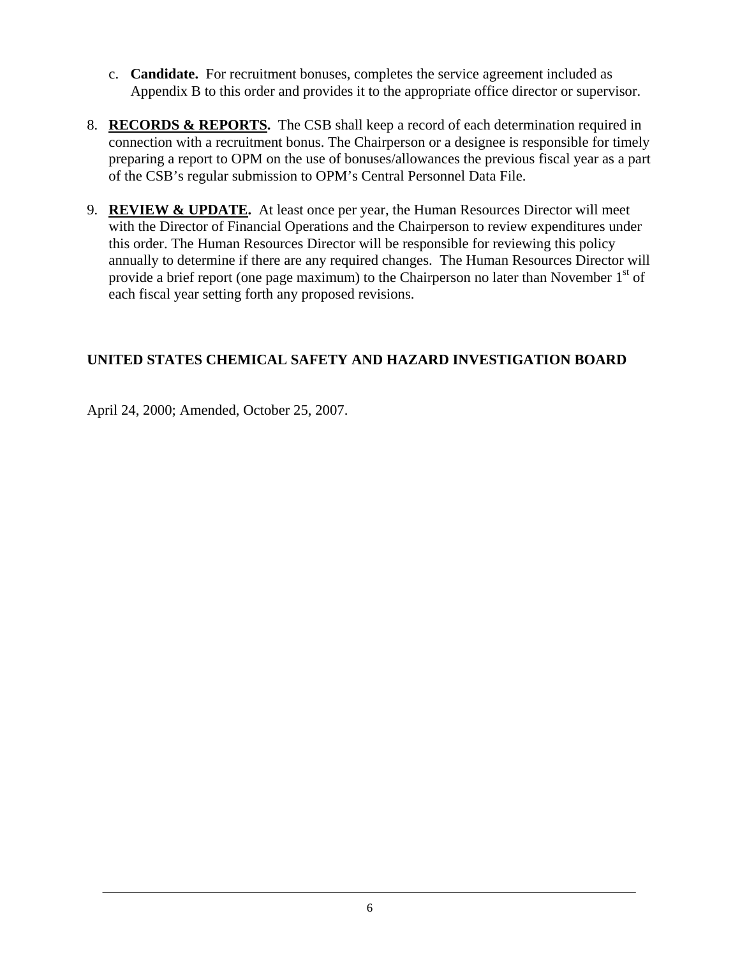- c. **Candidate.** For recruitment bonuses, completes the service agreement included as Appendix B to this order and provides it to the appropriate office director or supervisor.
- 8. **RECORDS & REPORTS.** The CSB shall keep a record of each determination required in connection with a recruitment bonus. The Chairperson or a designee is responsible for timely preparing a report to OPM on the use of bonuses/allowances the previous fiscal year as a part of the CSB's regular submission to OPM's Central Personnel Data File.
- 9. **REVIEW & UPDATE.** At least once per year, the Human Resources Director will meet with the Director of Financial Operations and the Chairperson to review expenditures under this order. The Human Resources Director will be responsible for reviewing this policy annually to determine if there are any required changes. The Human Resources Director will provide a brief report (one page maximum) to the Chairperson no later than November  $1<sup>st</sup>$  of each fiscal year setting forth any proposed revisions.

## **UNITED STATES CHEMICAL SAFETY AND HAZARD INVESTIGATION BOARD**

April 24, 2000; Amended, October 25, 2007.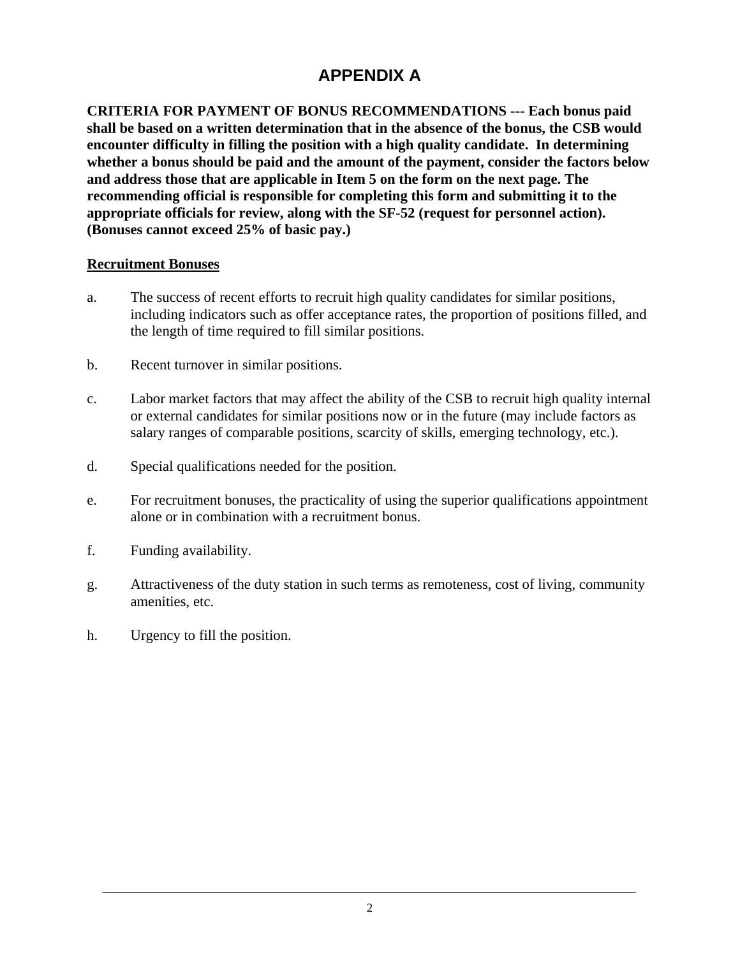# **APPENDIX A**

**CRITERIA FOR PAYMENT OF BONUS RECOMMENDATIONS --- Each bonus paid shall be based on a written determination that in the absence of the bonus, the CSB would encounter difficulty in filling the position with a high quality candidate. In determining whether a bonus should be paid and the amount of the payment, consider the factors below and address those that are applicable in Item 5 on the form on the next page. The recommending official is responsible for completing this form and submitting it to the appropriate officials for review, along with the SF-52 (request for personnel action). (Bonuses cannot exceed 25% of basic pay.)** 

#### **Recruitment Bonuses**

- a. The success of recent efforts to recruit high quality candidates for similar positions, including indicators such as offer acceptance rates, the proportion of positions filled, and the length of time required to fill similar positions.
- b. Recent turnover in similar positions.
- c. Labor market factors that may affect the ability of the CSB to recruit high quality internal or external candidates for similar positions now or in the future (may include factors as salary ranges of comparable positions, scarcity of skills, emerging technology, etc.).
- d. Special qualifications needed for the position.
- e. For recruitment bonuses, the practicality of using the superior qualifications appointment alone or in combination with a recruitment bonus.
- f. Funding availability.
- g. Attractiveness of the duty station in such terms as remoteness, cost of living, community amenities, etc.
- h. Urgency to fill the position.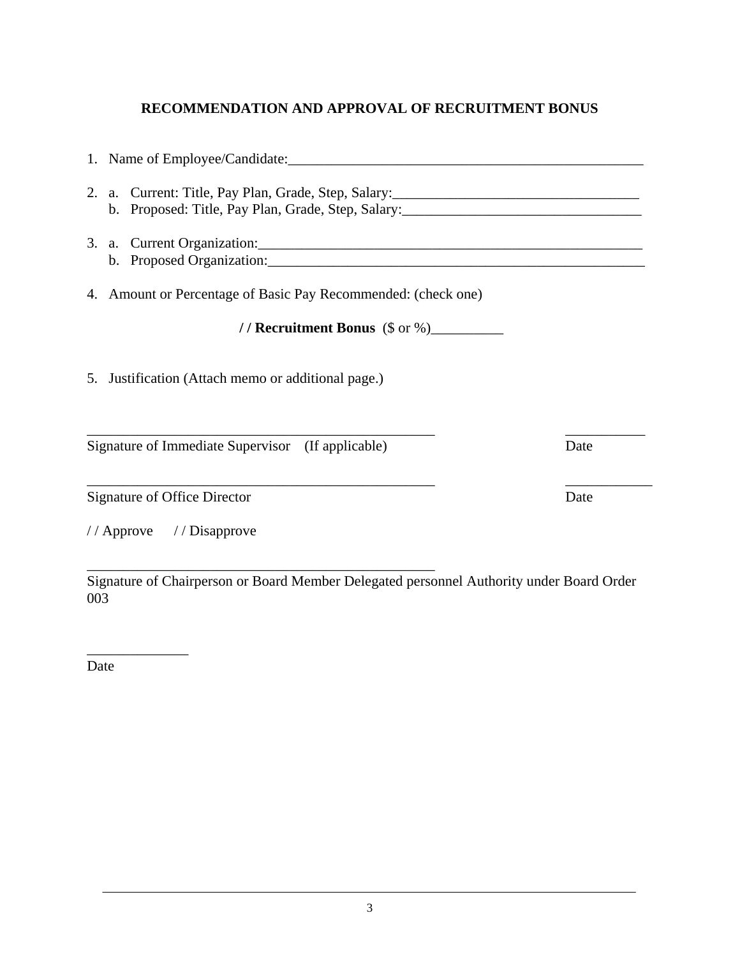## **RECOMMENDATION AND APPROVAL OF RECRUITMENT BONUS**

1. Name of Employee/Candidate:

2. a. Current: Title, Pay Plan, Grade, Step, Salary:\_\_\_\_\_\_\_\_\_\_\_\_\_\_\_\_\_\_\_\_\_\_\_\_\_\_\_\_\_\_\_\_\_\_ b. Proposed: Title, Pay Plan, Grade, Step, Salary: 3. a. Current Organization:\_\_\_\_\_\_\_\_\_\_\_\_\_\_\_\_\_\_\_\_\_\_\_\_\_\_\_\_\_\_\_\_\_\_\_\_\_\_\_\_\_\_\_\_\_\_\_\_\_\_\_\_\_ b. Proposed Organization: 4. Amount or Percentage of Basic Pay Recommended: (check one)  **/ / Recruitment Bonus** (\$ or %)\_\_\_\_\_\_\_\_\_\_ 5. Justification (Attach memo or additional page.)  $\overline{\phantom{a}}$  , and the contract of the contract of the contract of the contract of the contract of the contract of the contract of the contract of the contract of the contract of the contract of the contract of the contrac Signature of Immediate Supervisor (If applicable) Date \_\_\_\_\_\_\_\_\_\_\_\_\_\_\_\_\_\_\_\_\_\_\_\_\_\_\_\_\_\_\_\_\_\_\_\_\_\_\_\_\_\_\_\_\_\_\_\_ \_\_\_\_\_\_\_\_\_\_\_\_ Signature of Office Director Date

/ / Approve / / Disapprove

\_\_\_\_\_\_\_\_\_\_\_\_\_\_\_\_\_\_\_\_\_\_\_\_\_\_\_\_\_\_\_\_\_\_\_\_\_\_\_\_\_\_\_\_\_\_\_\_ Signature of Chairperson or Board Member Delegated personnel Authority under Board Order 003

Date

 $\overline{\phantom{a}}$  , where  $\overline{\phantom{a}}$